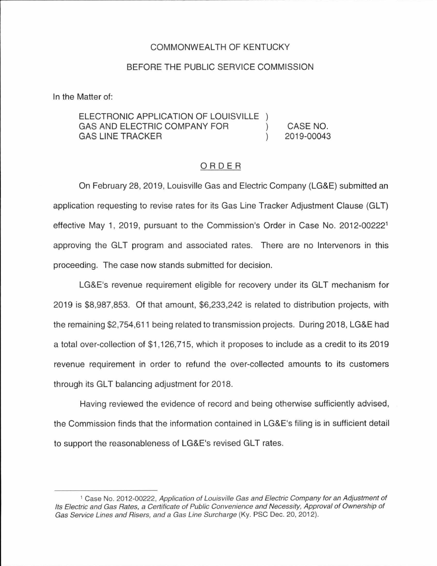### COMMONWEALTH OF KENTUCKY

#### BEFORE THE PUBLIC SERVICE COMMISSION

In the Matter of:

#### ELECTRONIC APPLICATION OF LOUISVILLE GAS AND ELECTRIC COMPANY FOR GAS LINE TRACKER CASE NO. 2019-00043

### ORDER

On February 28, 2019, Louisville Gas and Electric Company (LG&E) submitted an application requesting to revise rates for its Gas Line Tracker Adjustment Clause (GLT) effective May 1, 2019, pursuant to the Commission's Order in Case No. 2012-00222<sup>1</sup> approving the GLT program and associated rates. There are no Intervenors in this proceeding. The case now stands submitted for decision.

LG&E's revenue requirement eligible for recovery under its GLT mechanism for 2019 is \$8,987,853. Of that amount, \$6,233,242 is related to distribution projects, with the remaining \$2,754,611 being related to transmission projects. During 2018, LG&E had a total over-collection of \$1 , 126,715, which it proposes to include as a credit to its 2019 revenue requirement in order to refund the over-collected amounts to its customers through its GLT balancing adjustment for 2018.

Having reviewed the evidence of record and being otherwise sufficiently advised, the Commission finds that the information contained in LG&E's filing is in sufficient detail to support the reasonableness of LG&E's revised GLT rates.

<sup>1</sup>Case No. 2012-00222, Application of Louisville Gas and Electric Company for an Adjustment of Its Electric and Gas Rates, a Certificate of Public Convenience and Necessity, Approval of Ownership of Gas Service Lines and Risers, and a Gas Line Surcharge (Ky. PSC Dec. 20, 2012).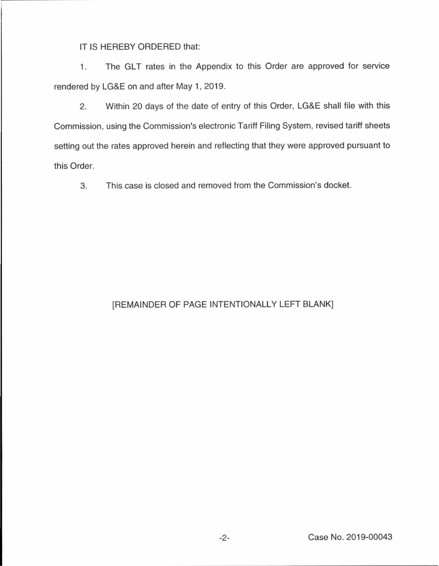## IT IS HEREBY ORDERED that:

1. The GLT rates in the Appendix to this Order are approved for service rendered by LG&E on and after May 1, 2019.

2. Within 20 days of the date of entry of this Order, LG&E shall file with this Commission, using the Commission's electronic Tariff Filing System, revised tariff sheets setting out the rates approved herein and reflecting that they were approved pursuant to this Order.

3. This case is closed and removed from the Commission's docket.

# [REMAINDER OF PAGE INTENTIONALLY LEFT BLANK]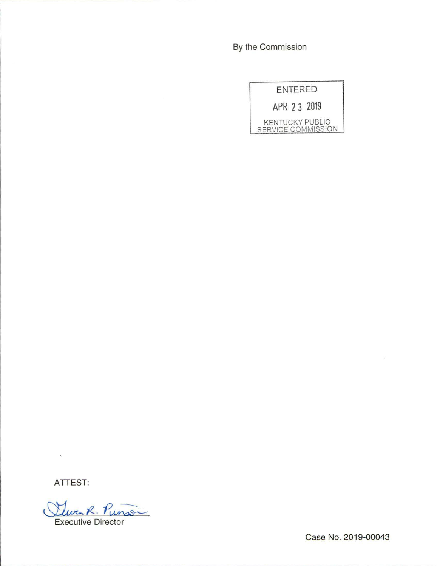By the Commission

| ENTERED |  |  |  |  |  |
|---------|--|--|--|--|--|
|---------|--|--|--|--|--|

APR 2 3 2019

KENTUCKY PUBLIC SERVICE COMMISSION

ATTEST:

 $\sim 10^{-11}$ 

Suven R Executive Director Punson

Case No. 2019-00043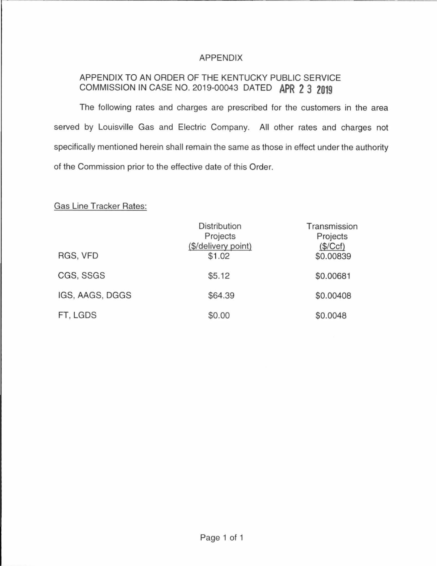# APPENDIX

# APPENDIX TO AN ORDER OF THE KENTUCKY PUBLIC SERVICE COMMISSION IN CASE NO. 2019-00043 DATED **APR 2 3 2019**

The following rates and charges are prescribed for the customers in the area served by Louisville Gas and Electric Company. All other rates and charges not specifically mentioned herein shall remain the same as those in effect under the authority of the Commission prior to the effective date of this Order.

## Gas Line Tracker Rates:

| RGS, VFD        | <b>Distribution</b><br>Projects<br>(\$/delivery point)<br>\$1.02 | Transmission<br>Projects<br>(\$/Ccf)<br>\$0.00839 |
|-----------------|------------------------------------------------------------------|---------------------------------------------------|
| CGS, SSGS       | \$5.12                                                           | \$0.00681                                         |
| IGS, AAGS, DGGS | \$64.39                                                          | \$0.00408                                         |
| FT, LGDS        | \$0.00                                                           | \$0.0048                                          |